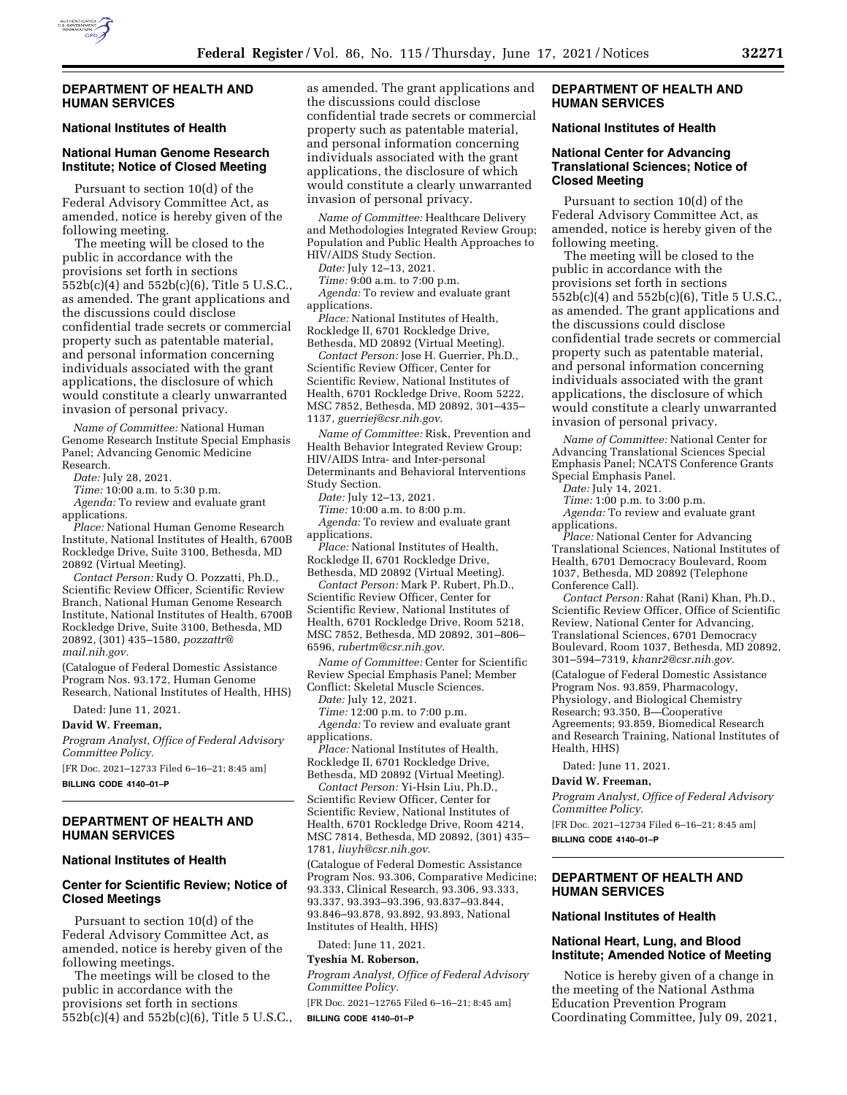

## **DEPARTMENT OF HEALTH AND HUMAN SERVICES**

# **National Institutes of Health**

# **National Human Genome Research Institute; Notice of Closed Meeting**

Pursuant to section 10(d) of the Federal Advisory Committee Act, as amended, notice is hereby given of the following meeting.

The meeting will be closed to the public in accordance with the provisions set forth in sections 552b(c)(4) and 552b(c)(6), Title 5 U.S.C., as amended. The grant applications and the discussions could disclose confidential trade secrets or commercial property such as patentable material, and personal information concerning individuals associated with the grant applications, the disclosure of which would constitute a clearly unwarranted invasion of personal privacy.

*Name of Committee:* National Human Genome Research Institute Special Emphasis Panel; Advancing Genomic Medicine Research.

*Date:* July 28, 2021.

*Time:* 10:00 a.m. to 5:30 p.m.

*Agenda:* To review and evaluate grant applications.

*Place:* National Human Genome Research Institute, National Institutes of Health, 6700B Rockledge Drive, Suite 3100, Bethesda, MD 20892 (Virtual Meeting).

*Contact Person:* Rudy O. Pozzatti, Ph.D., Scientific Review Officer, Scientific Review Branch, National Human Genome Research Institute, National Institutes of Health, 6700B Rockledge Drive, Suite 3100, Bethesda, MD 20892, (301) 435–1580, *[pozzattr@](mailto:pozzattr@mail.nih.gov) [mail.nih.gov.](mailto:pozzattr@mail.nih.gov)* 

(Catalogue of Federal Domestic Assistance Program Nos. 93.172, Human Genome Research, National Institutes of Health, HHS)

Dated: June 11, 2021.

**David W. Freeman,** 

*Program Analyst, Office of Federal Advisory Committee Policy.* 

[FR Doc. 2021–12733 Filed 6–16–21; 8:45 am]

**BILLING CODE 4140–01–P** 

# **DEPARTMENT OF HEALTH AND HUMAN SERVICES**

#### **National Institutes of Health**

# **Center for Scientific Review; Notice of Closed Meetings**

Pursuant to section 10(d) of the Federal Advisory Committee Act, as amended, notice is hereby given of the following meetings.

The meetings will be closed to the public in accordance with the provisions set forth in sections 552b(c)(4) and 552b(c)(6), Title 5 U.S.C., as amended. The grant applications and the discussions could disclose confidential trade secrets or commercial property such as patentable material, and personal information concerning individuals associated with the grant applications, the disclosure of which would constitute a clearly unwarranted invasion of personal privacy.

*Name of Committee:* Healthcare Delivery and Methodologies Integrated Review Group; Population and Public Health Approaches to HIV/AIDS Study Section.

*Date:* July 12–13, 2021.

*Time:* 9:00 a.m. to 7:00 p.m.

*Agenda:* To review and evaluate grant applications.

*Place:* National Institutes of Health, Rockledge II, 6701 Rockledge Drive, Bethesda, MD 20892 (Virtual Meeting).

*Contact Person:* Jose H. Guerrier, Ph.D., Scientific Review Officer, Center for Scientific Review, National Institutes of Health, 6701 Rockledge Drive, Room 5222, MSC 7852, Bethesda, MD 20892, 301–435– 1137, *[guerriej@csr.nih.gov](mailto:guerriej@csr.nih.gov)*.

*Name of Committee:* Risk, Prevention and Health Behavior Integrated Review Group; HIV/AIDS Intra- and Inter-personal Determinants and Behavioral Interventions Study Section.

*Date:* July 12–13, 2021.

*Time:* 10:00 a.m. to 8:00 p.m. *Agenda:* To review and evaluate grant applications.

*Place:* National Institutes of Health, Rockledge II, 6701 Rockledge Drive, Bethesda, MD 20892 (Virtual Meeting).

*Contact Person:* Mark P. Rubert, Ph.D., Scientific Review Officer, Center for Scientific Review, National Institutes of Health, 6701 Rockledge Drive, Room 5218, MSC 7852, Bethesda, MD 20892, 301–806– 6596, *[rubertm@csr.nih.gov](mailto:rubertm@csr.nih.gov)*.

*Name of Committee:* Center for Scientific Review Special Emphasis Panel; Member Conflict: Skeletal Muscle Sciences.

*Date:* July 12, 2021.

*Time:* 12:00 p.m. to 7:00 p.m. *Agenda:* To review and evaluate grant applications.

*Place:* National Institutes of Health, Rockledge II, 6701 Rockledge Drive, Bethesda, MD 20892 (Virtual Meeting).

*Contact Person:* Yi-Hsin Liu, Ph.D., Scientific Review Officer, Center for Scientific Review, National Institutes of Health, 6701 Rockledge Drive, Room 4214, MSC 7814, Bethesda, MD 20892, (301) 435– 1781, *[liuyh@csr.nih.gov](mailto:liuyh@csr.nih.gov)*.

(Catalogue of Federal Domestic Assistance Program Nos. 93.306, Comparative Medicine; 93.333, Clinical Research, 93.306, 93.333, 93.337, 93.393–93.396, 93.837–93.844, 93.846–93.878, 93.892, 93.893, National Institutes of Health, HHS)

Dated: June 11, 2021.

# **Tyeshia M. Roberson,**

*Program Analyst, Office of Federal Advisory Committee Policy.* 

[FR Doc. 2021–12765 Filed 6–16–21; 8:45 am] **BILLING CODE 4140–01–P** 

# **DEPARTMENT OF HEALTH AND HUMAN SERVICES**

# **National Institutes of Health**

# **National Center for Advancing Translational Sciences; Notice of Closed Meeting**

Pursuant to section 10(d) of the Federal Advisory Committee Act, as amended, notice is hereby given of the following meeting.

The meeting will be closed to the public in accordance with the provisions set forth in sections 552b(c)(4) and 552b(c)(6), Title 5 U.S.C., as amended. The grant applications and the discussions could disclose confidential trade secrets or commercial property such as patentable material, and personal information concerning individuals associated with the grant applications, the disclosure of which would constitute a clearly unwarranted invasion of personal privacy.

*Name of Committee:* National Center for Advancing Translational Sciences Special Emphasis Panel; NCATS Conference Grants Special Emphasis Panel.

*Date:* July 14, 2021. *Time:* 1:00 p.m. to 3:00 p.m.

*Agenda:* To review and evaluate grant applications.

*Place:* National Center for Advancing Translational Sciences, National Institutes of Health, 6701 Democracy Boulevard, Room 1037, Bethesda, MD 20892 (Telephone Conference Call).

*Contact Person:* Rahat (Rani) Khan, Ph.D., Scientific Review Officer, Office of Scientific Review, National Center for Advancing, Translational Sciences, 6701 Democracy Boulevard, Room 1037, Bethesda, MD 20892, 301–594–7319, *[khanr2@csr.nih.gov.](mailto:khanr2@csr.nih.gov)* 

(Catalogue of Federal Domestic Assistance Program Nos. 93.859, Pharmacology, Physiology, and Biological Chemistry Research; 93.350, B—Cooperative Agreements; 93.859, Biomedical Research and Research Training, National Institutes of Health, HHS)

Dated: June 11, 2021.

### **David W. Freeman,**

*Program Analyst, Office of Federal Advisory Committee Policy.* 

[FR Doc. 2021–12734 Filed 6–16–21; 8:45 am] **BILLING CODE 4140–01–P** 

# **DEPARTMENT OF HEALTH AND HUMAN SERVICES**

### **National Institutes of Health**

# **National Heart, Lung, and Blood Institute; Amended Notice of Meeting**

Notice is hereby given of a change in the meeting of the National Asthma Education Prevention Program Coordinating Committee, July 09, 2021,